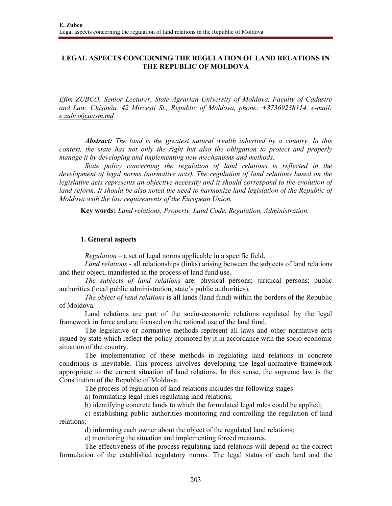# **LEGAL ASPECTS CONCERNING THE REGULATION OF LAND RELATIONS IN THE REPUBLIC OF MOLDOVA**

*Efim ZUBCO, Senior Lecturer, State Agrarian University of Moldova, Faculty of Cadastre and Law, Chişinău, 42 Mirceşti St., Republic of Moldova, phone: +37369238114, e-mail: e.zubco@uasm.md*

*Abstract: The land is the greatest natural wealth inherited by a country. In this context, the state has not only the right but also the obligation to protect and properly manage it by developing and implementing new mechanisms and methods.* 

*State policy concerning the regulation of land relations is reflected in the development of legal norms (normative acts). The regulation of land relations based on the legislative acts represents an objective necessity and it should correspond to the evolution of*  land reform. It should be also noted the need to harmonize land legislation of the Republic of *Moldova with the law requirements of the European Union.* 

**Key words:** *Land relations, Property, Land Code, Regulation, Administration.*

#### **1. General aspects**

*Regulation* – a set of legal norms applicable in a specific field.

*Land relations* - all relationships (links) arising between the subjects of land relations and their object, manifested in the process of land fund use.

*The subjects of land relations* are: physical persons; juridical persons; public authorities (local public administration, state's public authorities).

*The object of land relations* is all lands (land fund) within the borders of the Republic of Moldova.

Land relations are part of the socio-economic relations regulated by the legal framework in force and are focused on the rational use of the land fund.

The legislative or normative methods represent all laws and other normative acts issued by state which reflect the policy promoted by it in accordance with the socio-economic situation of the country.

The implementation of these methods in regulating land relations in concrete conditions is inevitable. This process involves developing the legal-normative framework appropriate to the current situation of land relations. In this sense, the supreme law is the Constitution of the Republic of Moldova.

The process of regulation of land relations includes the following stages:

a) formulating legal rules regulating land relations;

b) identifying concrete lands to which the formulated legal rules could be applied;

c) establishing public authorities monitoring and controlling the regulation of land relations;

d) informing each owner about the object of the regulated land relations;

e) monitoring the situation and implementing forced measures.

The effectiveness of the process regulating land relations will depend on the correct formulation of the established regulatory norms. The legal status of each land and the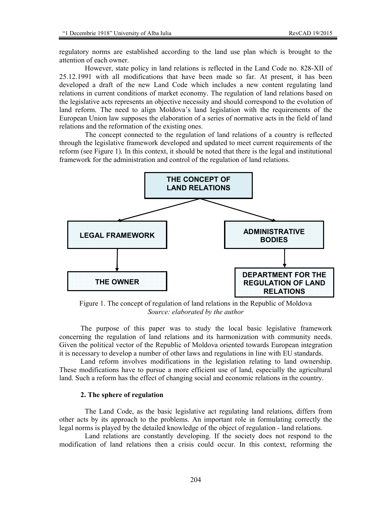regulatory norms are established according to the land use plan which is brought to the attention of each owner.

However, state policy in land relations is reflected in the Land Code no. 828-XII of 25.12.1991 with all modifications that have been made so far. At present, it has been developed a draft of the new Land Code which includes a new content regulating land relations in current conditions of market economy. The regulation of land relations based on the legislative acts represents an objective necessity and should correspond to the evolution of land reform. The need to align Moldova's land legislation with the requirements of the European Union law supposes the elaboration of a series of normative acts in the field of land relations and the reformation of the existing ones.

The concept connected to the regulation of land relations of a country is reflected through the legislative framework developed and updated to meet current requirements of the reform (see Figure 1). In this context, it should be noted that there is the legal and institutional framework for the administration and control of the regulation of land relations.



Figure 1. The concept of regulation of land relations in the Republic of Moldova *Source: elaborated by the author* 

The purpose of this paper was to study the local basic legislative framework concerning the regulation of land relations and its harmonization with community needs. Given the political vector of the Republic of Moldova oriented towards European integration it is necessary to develop a number of other laws and regulations in line with EU standards.

Land reform involves modifications in the legislation relating to land ownership. These modifications have to pursue a more efficient use of land, especially the agricultural land. Such a reform has the effect of changing social and economic relations in the country.

## **2. The sphere of regulation**

The Land Code, as the basic legislative act regulating land relations, differs from other acts by its approach to the problems. An important role in formulating correctly the legal norms is played by the detailed knowledge of the object of regulation - land relations.

Land relations are constantly developing. If the society does not respond to the modification of land relations then a crisis could occur. In this context, reforming the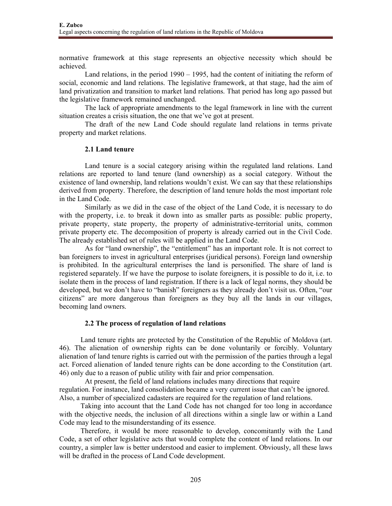normative framework at this stage represents an objective necessity which should be achieved.

Land relations, in the period 1990 – 1995, had the content of initiating the reform of social, economic and land relations. The legislative framework, at that stage, had the aim of land privatization and transition to market land relations. That period has long ago passed but the legislative framework remained unchanged.

The lack of appropriate amendments to the legal framework in line with the current situation creates a crisis situation, the one that we've got at present.

The draft of the new Land Code should regulate land relations in terms private property and market relations.

### **2.1 Land tenure**

Land tenure is a social category arising within the regulated land relations. Land relations are reported to land tenure (land ownership) as a social category. Without the existence of land ownership, land relations wouldn't exist. We can say that these relationships derived from property. Therefore, the description of land tenure holds the most important role in the Land Code.

Similarly as we did in the case of the object of the Land Code, it is necessary to do with the property, i.e. to break it down into as smaller parts as possible: public property, private property, state property, the property of administrative-territorial units, common private property etc. The decomposition of property is already carried out in the Civil Code. The already established set of rules will be applied in the Land Code.

As for "land ownership", the "entitlement" has an important role. It is not correct to ban foreigners to invest in agricultural enterprises (juridical persons). Foreign land ownership is prohibited. In the agricultural enterprises the land is personified. The share of land is registered separately. If we have the purpose to isolate foreigners, it is possible to do it, i.e. to isolate them in the process of land registration. If there is a lack of legal norms, they should be developed, but we don't have to "banish" foreigners as they already don't visit us. Often, "our citizens" are more dangerous than foreigners as they buy all the lands in our villages, becoming land owners.

## **2.2 The process of regulation of land relations**

Land tenure rights are protected by the Constitution of the Republic of Moldova (art. 46). The alienation of ownership rights can be done voluntarily or forcibly. Voluntary alienation of land tenure rights is carried out with the permission of the parties through a legal act. Forced alienation of landed tenure rights can be done according to the Constitution (art. 46) only due to a reason of public utility with fair and prior compensation.

At present, the field of land relations includes many directions that require regulation. For instance, land consolidation became a very current issue that can't be ignored. Also, a number of specialized cadasters are required for the regulation of land relations.

Taking into account that the Land Code has not changed for too long in accordance with the objective needs, the inclusion of all directions within a single law or within a Land Code may lead to the misunderstanding of its essence.

Therefore, it would be more reasonable to develop, concomitantly with the Land Code, a set of other legislative acts that would complete the content of land relations. In our country, a simpler law is better understood and easier to implement. Obviously, all these laws will be drafted in the process of Land Code development.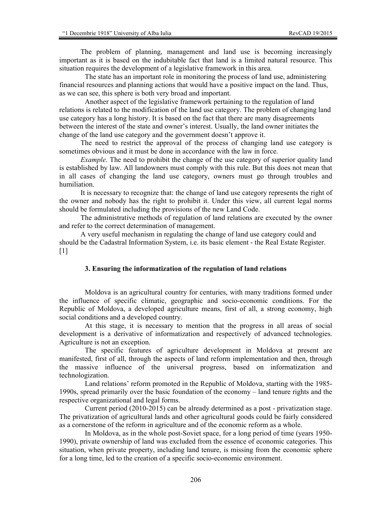The problem of planning, management and land use is becoming increasingly important as it is based on the indubitable fact that land is a limited natural resource. This situation requires the development of a legislative framework in this area.

The state has an important role in monitoring the process of land use, administering financial resources and planning actions that would have a positive impact on the land. Thus, as we can see, this sphere is both very broad and important.

Another aspect of the legislative framework pertaining to the regulation of land relations is related to the modification of the land use category. The problem of changing land use category has a long history. It is based on the fact that there are many disagreements between the interest of the state and owner's interest. Usually, the land owner initiates the change of the land use category and the government doesn't approve it.

The need to restrict the approval of the process of changing land use category is sometimes obvious and it must be done in accordance with the law in force.

*Example*. The need to prohibit the change of the use category of superior quality land is established by law. All landowners must comply with this rule. But this does not mean that in all cases of changing the land use category, owners must go through troubles and humiliation.

It is necessary to recognize that: the change of land use category represents the right of the owner and nobody has the right to prohibit it. Under this view, all current legal norms should be formulated including the provisions of the new Land Code.

The administrative methods of regulation of land relations are executed by the owner and refer to the correct determination of management.

A very useful mechanism in regulating the change of land use category could and should be the Cadastral Information System, i.e. its basic element - the Real Estate Register.  $[1]$ 

#### **3. Ensuring the informatization of the regulation of land relations**

Moldova is an agricultural country for centuries, with many traditions formed under the influence of specific climatic, geographic and socio-economic conditions. For the Republic of Moldova, a developed agriculture means, first of all, a strong economy, high social conditions and a developed country.

At this stage, it is necessary to mention that the progress in all areas of social development is a derivative of informatization and respectively of advanced technologies. Agriculture is not an exception.

The specific features of agriculture development in Moldova at present are manifested, first of all, through the aspects of land reform implementation and then, through the massive influence of the universal progress, based on informatization and technologization.

Land relations' reform promoted in the Republic of Moldova, starting with the 1985- 1990s, spread primarily over the basic foundation of the economy – land tenure rights and the respective organizational and legal forms.

Current period (2010-2015) can be already determined as a post - privatization stage. The privatization of agricultural lands and other agricultural goods could be fairly considered as a cornerstone of the reform in agriculture and of the economic reform as a whole.

In Moldova, as in the whole post-Soviet space, for a long period of time (years 1950- 1990), private ownership of land was excluded from the essence of economic categories. This situation, when private property, including land tenure, is missing from the economic sphere for a long time, led to the creation of a specific socio-economic environment.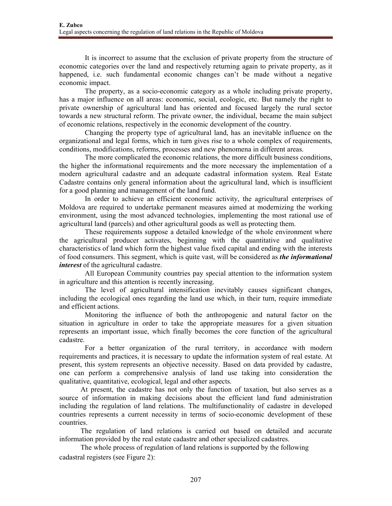It is incorrect to assume that the exclusion of private property from the structure of economic categories over the land and respectively returning again to private property, as it happened, i.e. such fundamental economic changes can't be made without a negative economic impact.

The property, as a socio-economic category as a whole including private property, has a major influence on all areas: economic, social, ecologic, etc. But namely the right to private ownership of agricultural land has oriented and focused largely the rural sector towards a new structural reform. The private owner, the individual, became the main subject of economic relations, respectively in the economic development of the country.

Changing the property type of agricultural land, has an inevitable influence on the organizational and legal forms, which in turn gives rise to a whole complex of requirements, conditions, modifications, reforms, processes and new phenomena in different areas.

The more complicated the economic relations, the more difficult business conditions, the higher the informational requirements and the more necessary the implementation of a modern agricultural cadastre and an adequate cadastral information system. Real Estate Cadastre contains only general information about the agricultural land, which is insufficient for a good planning and management of the land fund.

In order to achieve an efficient economic activity, the agricultural enterprises of Moldova are required to undertake permanent measures aimed at modernizing the working environment, using the most advanced technologies, implementing the most rational use of agricultural land (parcels) and other agricultural goods as well as protecting them.

These requirements suppose a detailed knowledge of the whole environment where the agricultural producer activates, beginning with the quantitative and qualitative characteristics of land which form the highest value fixed capital and ending with the interests of food consumers. This segment, which is quite vast, will be considered as *the informational interest* of the agricultural cadastre.

All European Community countries pay special attention to the information system in agriculture and this attention is recently increasing.

The level of agricultural intensification inevitably causes significant changes, including the ecological ones regarding the land use which, in their turn, require immediate and efficient actions.

Monitoring the influence of both the anthropogenic and natural factor on the situation in agriculture in order to take the appropriate measures for a given situation represents an important issue, which finally becomes the core function of the agricultural cadastre.

For a better organization of the rural territory, in accordance with modern requirements and practices, it is necessary to update the information system of real estate. At present, this system represents an objective necessity. Based on data provided by cadastre, one can perform a comprehensive analysis of land use taking into consideration the qualitative, quantitative, ecological, legal and other aspects.

At present, the cadastre has not only the function of taxation, but also serves as a source of information in making decisions about the efficient land fund administration including the regulation of land relations. The multifunctionality of cadastre in developed countries represents a current necessity in terms of socio-economic development of these countries.

The regulation of land relations is carried out based on detailed and accurate information provided by the real estate cadastre and other specialized cadastres.

The whole process of regulation of land relations is supported by the following cadastral registers (see Figure 2):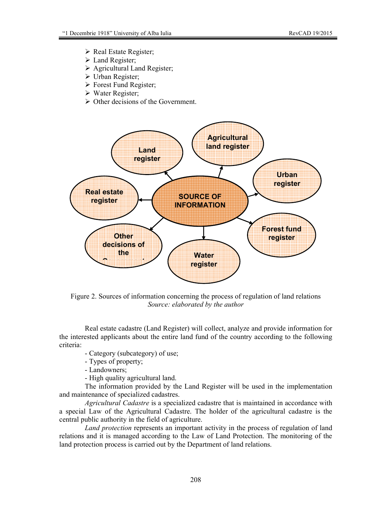- $\triangleright$  Real Estate Register;
- Land Register;
- $\triangleright$  Agricultural Land Register;
- Urban Register;
- $\triangleright$  Forest Fund Register;
- $\triangleright$  Water Register;
- $\triangleright$  Other decisions of the Government.



Figure 2. Sources of information concerning the process of regulation of land relations *Source: elaborated by the author* 

Real estate cadastre (Land Register) will collect, analyze and provide information for the interested applicants about the entire land fund of the country according to the following criteria:

- Category (subcategory) of use;
- Types of property;
- Landowners;
- High quality agricultural land.

The information provided by the Land Register will be used in the implementation and maintenance of specialized cadastres.

*Agricultural Cadastre* is a specialized cadastre that is maintained in accordance with a special Law of the Agricultural Cadastre. The holder of the agricultural cadastre is the central public authority in the field of agriculture.

*Land protection* represents an important activity in the process of regulation of land relations and it is managed according to the Law of Land Protection. The monitoring of the land protection process is carried out by the Department of land relations.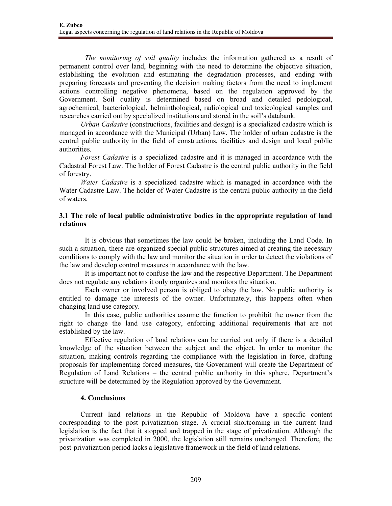*The monitoring of soil quality* includes the information gathered as a result of permanent control over land, beginning with the need to determine the objective situation, establishing the evolution and estimating the degradation processes, and ending with preparing forecasts and preventing the decision making factors from the need to implement actions controlling negative phenomena, based on the regulation approved by the Government. Soil quality is determined based on broad and detailed pedological, agrochemical, bacteriological, helminthological, radiological and toxicological samples and researches carried out by specialized institutions and stored in the soil's databank.

*Urban Cadastre* (constructions, facilities and design) is a specialized cadastre which is managed in accordance with the Municipal (Urban) Law. The holder of urban cadastre is the central public authority in the field of constructions, facilities and design and local public authorities.

*Forest Cadastre* is a specialized cadastre and it is managed in accordance with the Cadastral Forest Law. The holder of Forest Cadastre is the central public authority in the field of forestry.

*Water Cadastre* is a specialized cadastre which is managed in accordance with the Water Cadastre Law. The holder of Water Cadastre is the central public authority in the field of waters.

## **3.1 The role of local public administrative bodies in the appropriate regulation of land relations**

It is obvious that sometimes the law could be broken, including the Land Code. In such a situation, there are organized special public structures aimed at creating the necessary conditions to comply with the law and monitor the situation in order to detect the violations of the law and develop control measures in accordance with the law.

It is important not to confuse the law and the respective Department. The Department does not regulate any relations it only organizes and monitors the situation.

Each owner or involved person is obliged to obey the law. No public authority is entitled to damage the interests of the owner. Unfortunately, this happens often when changing land use category.

In this case, public authorities assume the function to prohibit the owner from the right to change the land use category, enforcing additional requirements that are not established by the law.

Effective regulation of land relations can be carried out only if there is a detailed knowledge of the situation between the subject and the object. In order to monitor the situation, making controls regarding the compliance with the legislation in force, drafting proposals for implementing forced measures, the Government will create the Department of Regulation of Land Relations – the central public authority in this sphere. Department's structure will be determined by the Regulation approved by the Government.

## **4. Conclusions**

Current land relations in the Republic of Moldova have a specific content corresponding to the post privatization stage. A crucial shortcoming in the current land legislation is the fact that it stopped and trapped in the stage of privatization. Although the privatization was completed in 2000, the legislation still remains unchanged. Therefore, the post-privatization period lacks a legislative framework in the field of land relations.